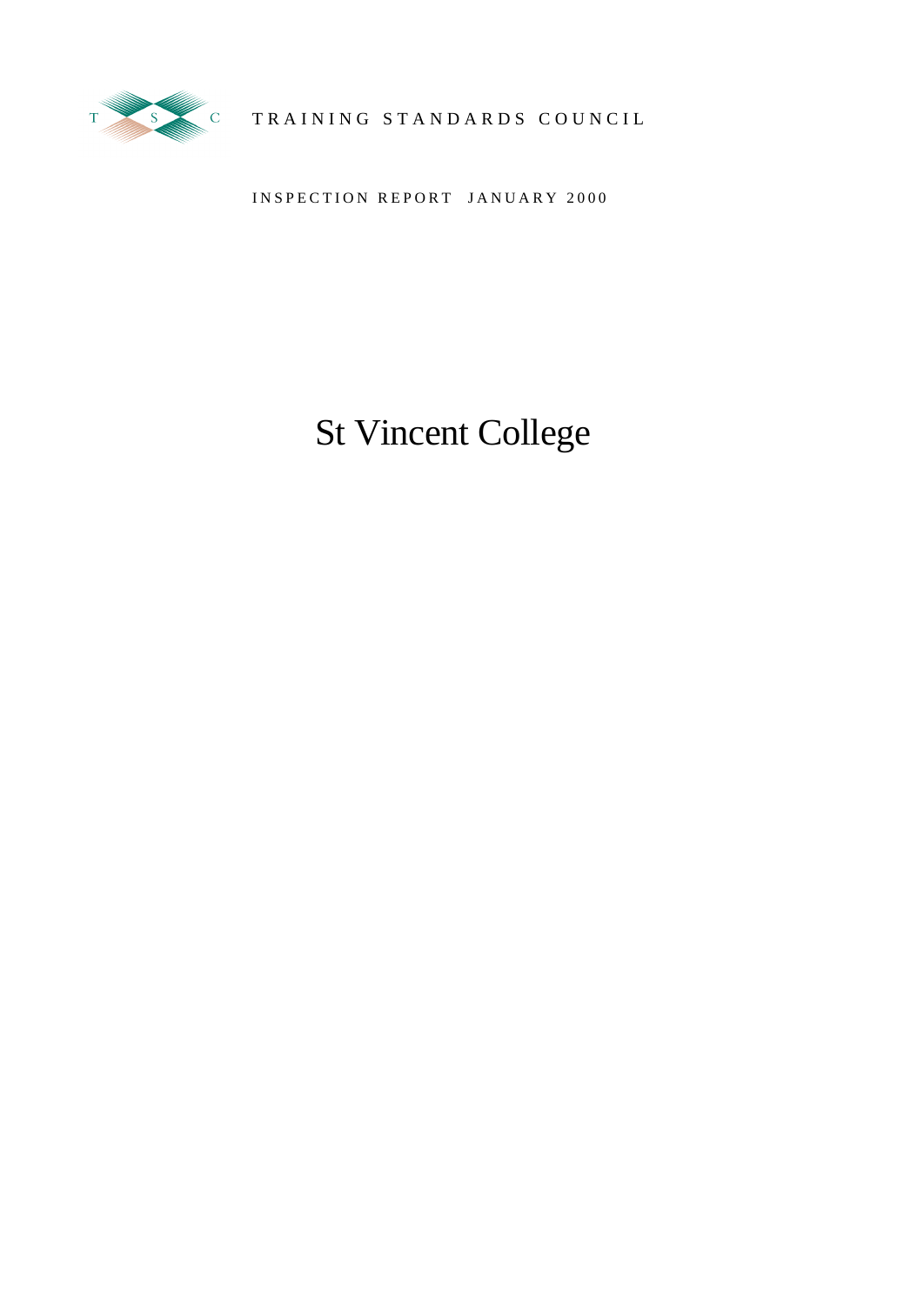

# TRAINING STANDARDS COUNCIL

INSPECTION REPORT JANUARY 2000

# St Vincent College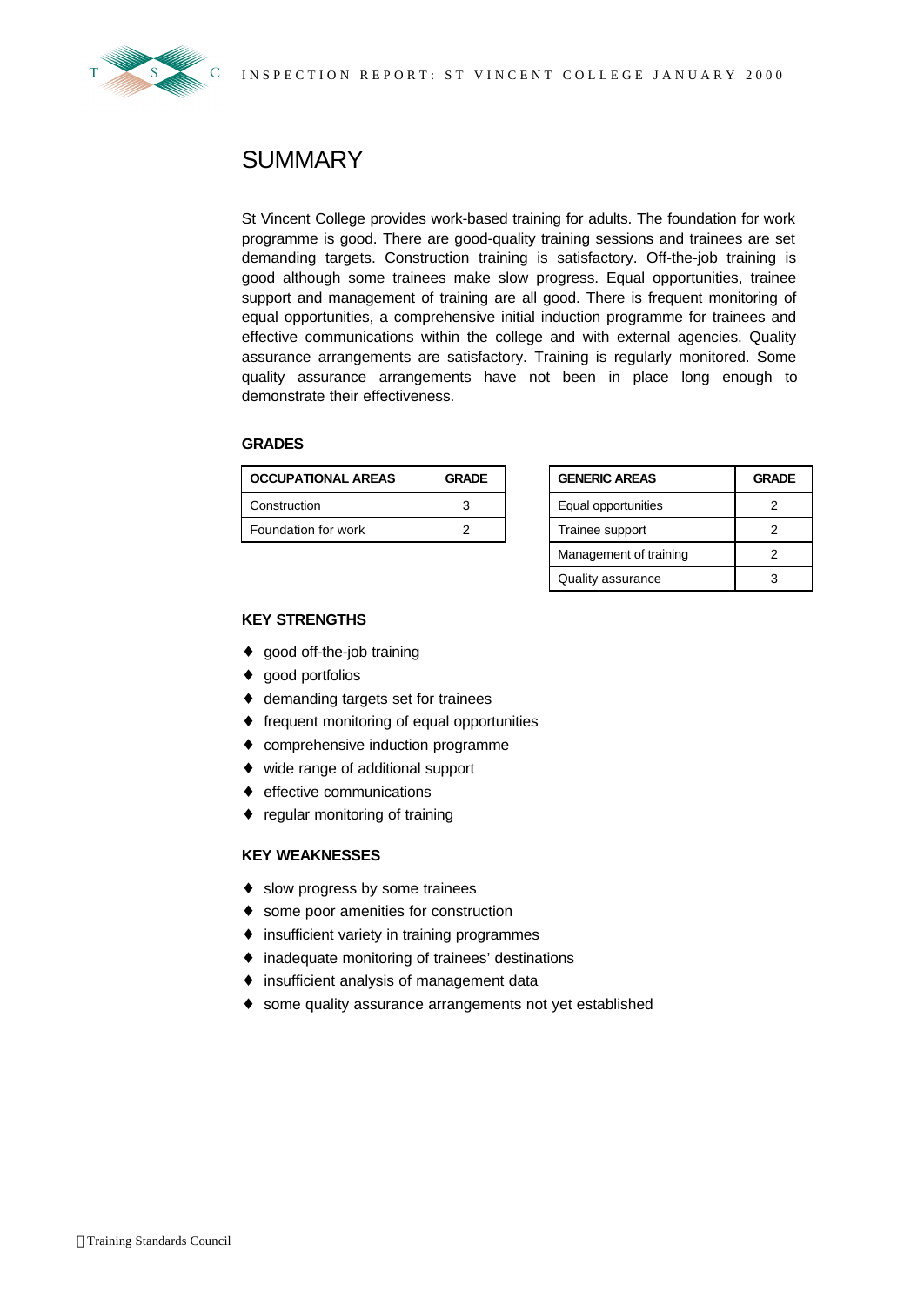

## **SUMMARY**

St Vincent College provides work-based training for adults. The foundation for work programme is good. There are good-quality training sessions and trainees are set demanding targets. Construction training is satisfactory. Off-the-job training is good although some trainees make slow progress. Equal opportunities, trainee support and management of training are all good. There is frequent monitoring of equal opportunities, a comprehensive initial induction programme for trainees and effective communications within the college and with external agencies. Quality assurance arrangements are satisfactory. Training is regularly monitored. Some quality assurance arrangements have not been in place long enough to demonstrate their effectiveness.

#### **GRADES**

| <b>OCCUPATIONAL AREAS</b> | <b>GRADE</b> | <b>GENERIC AREAS</b> |                     | <b>GRADE</b> |  |
|---------------------------|--------------|----------------------|---------------------|--------------|--|
| Construction              | ຈ            |                      | Equal opportunities |              |  |
| Foundation for work       |              |                      | Trainee support     |              |  |

| <b>GENERIC AREAS</b>   | <b>GRADE</b> |  |
|------------------------|--------------|--|
| Equal opportunities    |              |  |
| Trainee support        |              |  |
| Management of training |              |  |
| Quality assurance      |              |  |

### **KEY STRENGTHS**

- ♦ good off-the-job training
- ♦ good portfolios
- ♦ demanding targets set for trainees
- ♦ frequent monitoring of equal opportunities
- ♦ comprehensive induction programme
- ♦ wide range of additional support
- ♦ effective communications
- ♦ regular monitoring of training

#### **KEY WEAKNESSES**

- ♦ slow progress by some trainees
- ♦ some poor amenities for construction
- ♦ insufficient variety in training programmes
- ♦ inadequate monitoring of trainees' destinations
- ♦ insufficient analysis of management data
- ♦ some quality assurance arrangements not yet established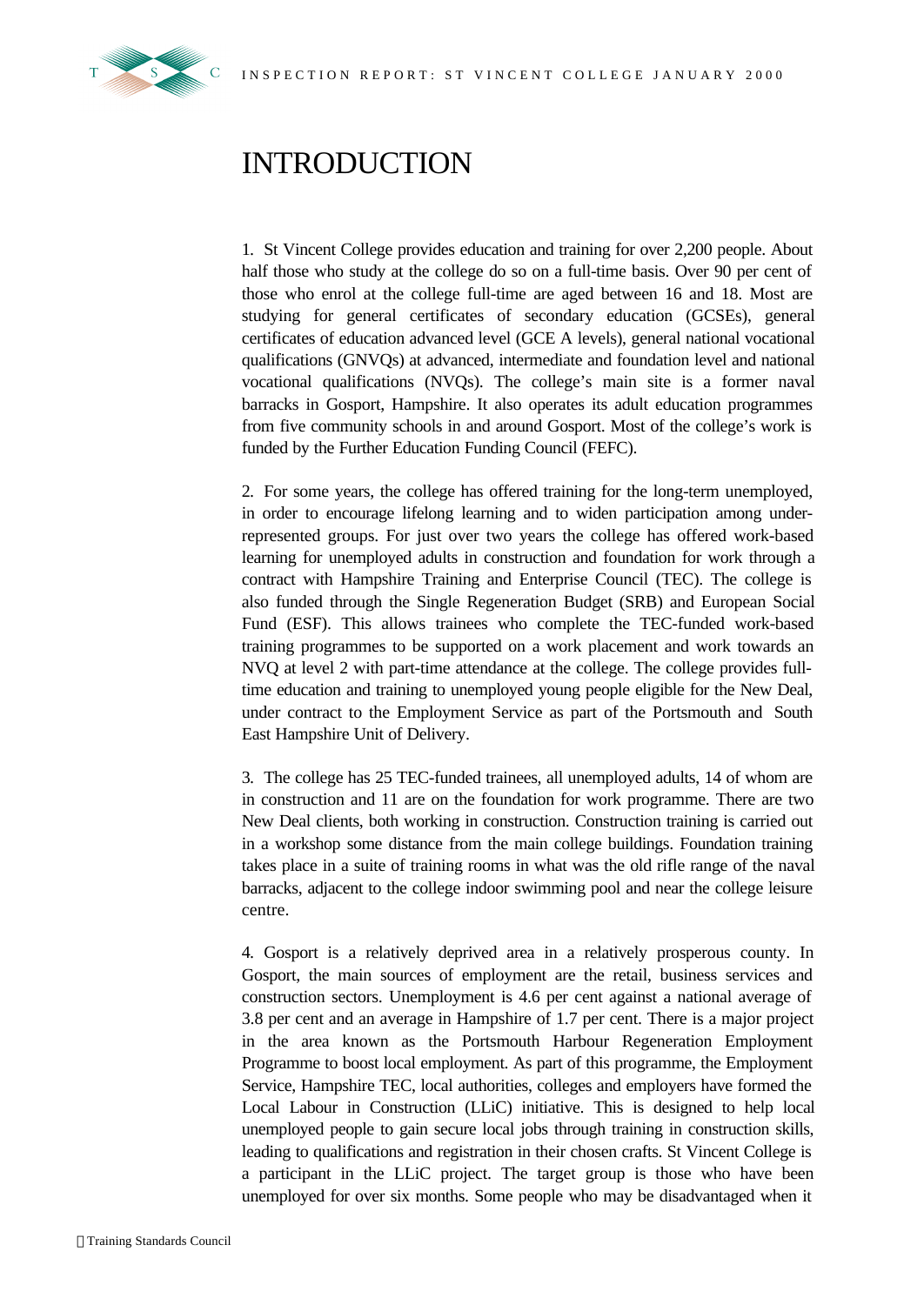

# INTRODUCTION

1. St Vincent College provides education and training for over 2,200 people. About half those who study at the college do so on a full-time basis. Over 90 per cent of those who enrol at the college full-time are aged between 16 and 18. Most are studying for general certificates of secondary education (GCSEs), general certificates of education advanced level (GCE A levels), general national vocational qualifications (GNVQs) at advanced, intermediate and foundation level and national vocational qualifications (NVQs). The college's main site is a former naval barracks in Gosport, Hampshire. It also operates its adult education programmes from five community schools in and around Gosport. Most of the college's work is funded by the Further Education Funding Council (FEFC).

2. For some years, the college has offered training for the long-term unemployed, in order to encourage lifelong learning and to widen participation among underrepresented groups. For just over two years the college has offered work-based learning for unemployed adults in construction and foundation for work through a contract with Hampshire Training and Enterprise Council (TEC). The college is also funded through the Single Regeneration Budget (SRB) and European Social Fund (ESF). This allows trainees who complete the TEC-funded work-based training programmes to be supported on a work placement and work towards an NVQ at level 2 with part-time attendance at the college. The college provides fulltime education and training to unemployed young people eligible for the New Deal, under contract to the Employment Service as part of the Portsmouth and South East Hampshire Unit of Delivery.

3. The college has 25 TEC-funded trainees, all unemployed adults, 14 of whom are in construction and 11 are on the foundation for work programme. There are two New Deal clients, both working in construction. Construction training is carried out in a workshop some distance from the main college buildings. Foundation training takes place in a suite of training rooms in what was the old rifle range of the naval barracks, adjacent to the college indoor swimming pool and near the college leisure centre.

4. Gosport is a relatively deprived area in a relatively prosperous county. In Gosport, the main sources of employment are the retail, business services and construction sectors. Unemployment is 4.6 per cent against a national average of 3.8 per cent and an average in Hampshire of 1.7 per cent. There is a major project in the area known as the Portsmouth Harbour Regeneration Employment Programme to boost local employment. As part of this programme, the Employment Service, Hampshire TEC, local authorities, colleges and employers have formed the Local Labour in Construction (LLiC) initiative. This is designed to help local unemployed people to gain secure local jobs through training in construction skills, leading to qualifications and registration in their chosen crafts. St Vincent College is a participant in the LLiC project. The target group is those who have been unemployed for over six months. Some people who may be disadvantaged when it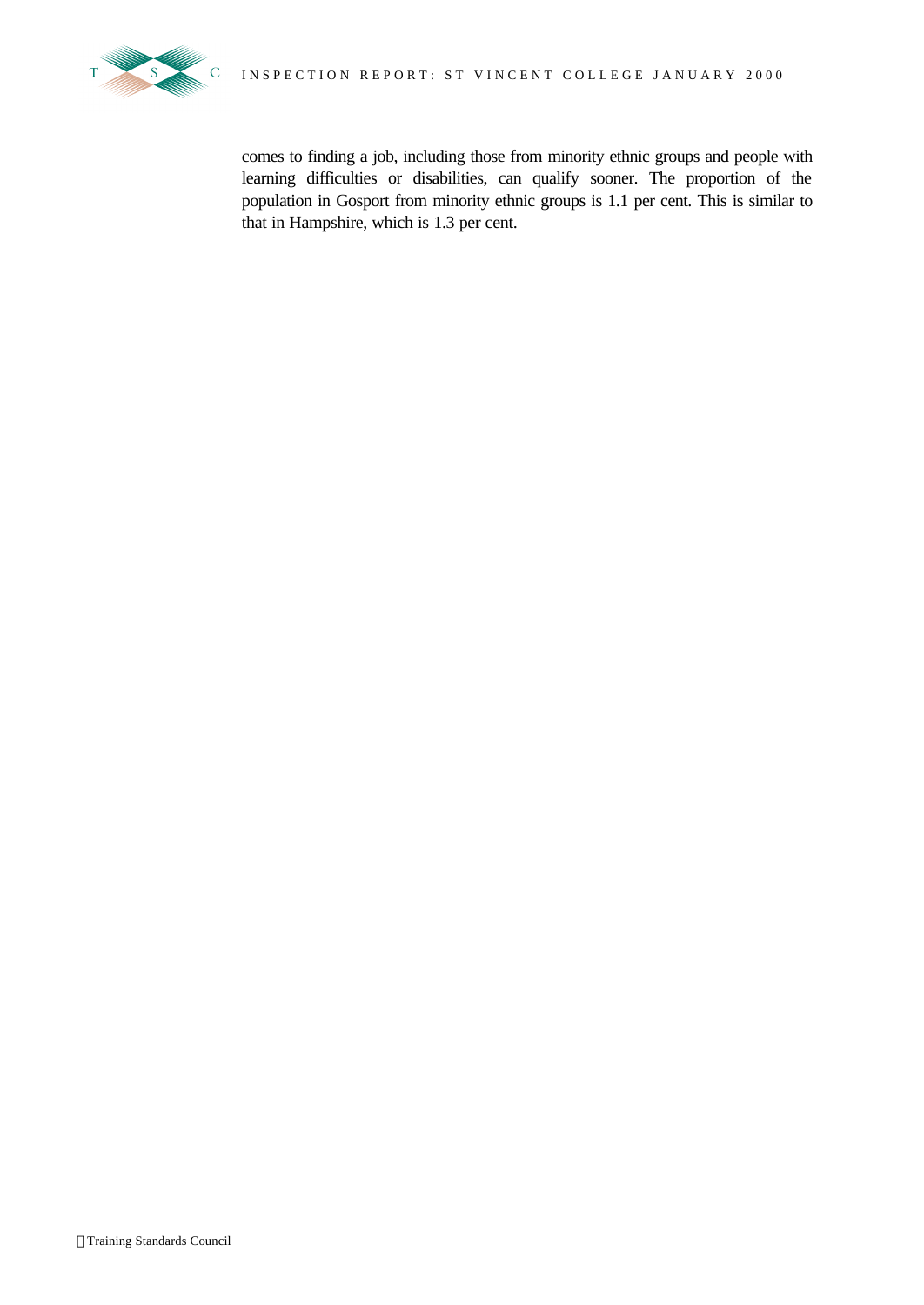

comes to finding a job, including those from minority ethnic groups and people with learning difficulties or disabilities, can qualify sooner. The proportion of the population in Gosport from minority ethnic groups is 1.1 per cent. This is similar to that in Hampshire, which is 1.3 per cent.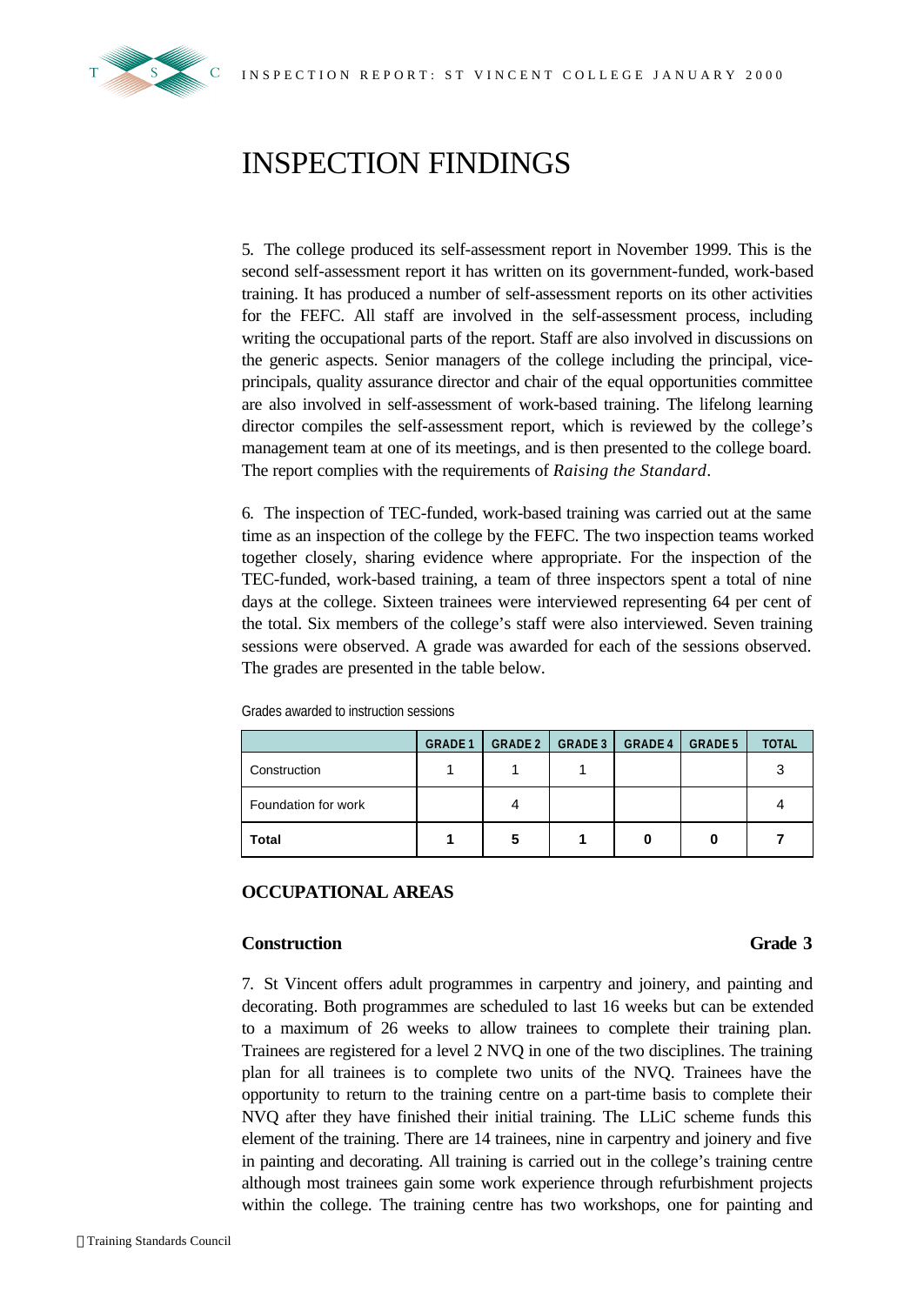

# INSPECTION FINDINGS

5. The college produced its self-assessment report in November 1999. This is the second self-assessment report it has written on its government-funded, work-based training. It has produced a number of self-assessment reports on its other activities for the FEFC. All staff are involved in the self-assessment process, including writing the occupational parts of the report. Staff are also involved in discussions on the generic aspects. Senior managers of the college including the principal, viceprincipals, quality assurance director and chair of the equal opportunities committee are also involved in self-assessment of work-based training. The lifelong learning director compiles the self-assessment report, which is reviewed by the college's management team at one of its meetings, and is then presented to the college board. The report complies with the requirements of *Raising the Standard*.

6. The inspection of TEC-funded, work-based training was carried out at the same time as an inspection of the college by the FEFC. The two inspection teams worked together closely, sharing evidence where appropriate. For the inspection of the TEC-funded, work-based training, a team of three inspectors spent a total of nine days at the college. Sixteen trainees were interviewed representing 64 per cent of the total. Six members of the college's staff were also interviewed. Seven training sessions were observed. A grade was awarded for each of the sessions observed. The grades are presented in the table below.

|                     | <b>GRADE 1</b> | <b>GRADE 2</b> | <b>GRADE 3</b> | <b>GRADE 4</b> | <b>GRADE 5</b> | <b>TOTAL</b> |
|---------------------|----------------|----------------|----------------|----------------|----------------|--------------|
| Construction        |                |                |                |                |                | 3            |
| Foundation for work |                |                |                |                |                |              |
| <b>Total</b>        |                | 5              |                |                |                |              |

Grades awarded to instruction sessions

### **OCCUPATIONAL AREAS**

#### **Construction Grade 3**

7. St Vincent offers adult programmes in carpentry and joinery, and painting and decorating. Both programmes are scheduled to last 16 weeks but can be extended to a maximum of 26 weeks to allow trainees to complete their training plan. Trainees are registered for a level 2 NVQ in one of the two disciplines. The training plan for all trainees is to complete two units of the NVQ. Trainees have the opportunity to return to the training centre on a part-time basis to complete their NVQ after they have finished their initial training. The LLiC scheme funds this element of the training. There are 14 trainees, nine in carpentry and joinery and five in painting and decorating. All training is carried out in the college's training centre although most trainees gain some work experience through refurbishment projects within the college. The training centre has two workshops, one for painting and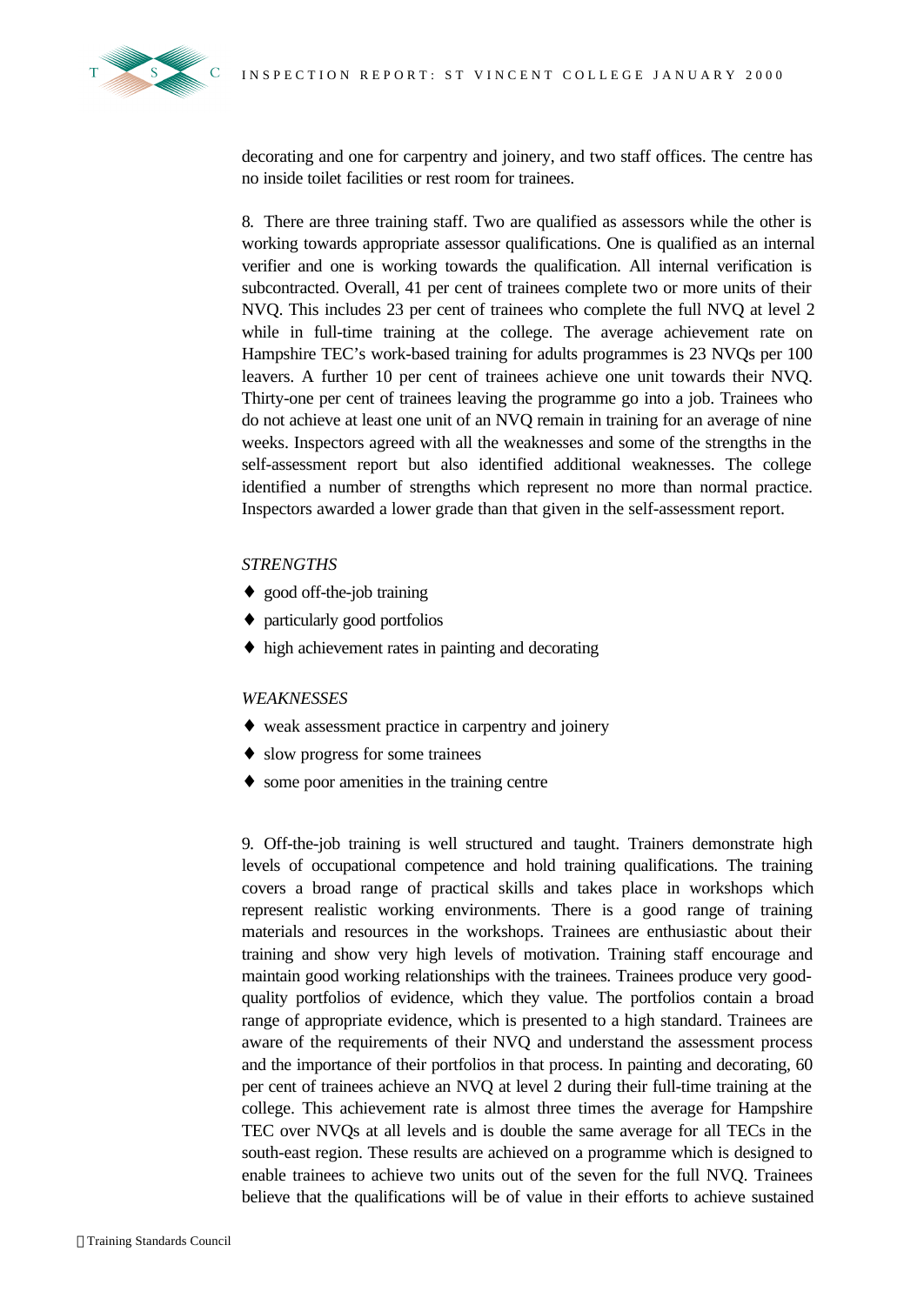

decorating and one for carpentry and joinery, and two staff offices. The centre has no inside toilet facilities or rest room for trainees.

8. There are three training staff. Two are qualified as assessors while the other is working towards appropriate assessor qualifications. One is qualified as an internal verifier and one is working towards the qualification. All internal verification is subcontracted. Overall, 41 per cent of trainees complete two or more units of their NVQ. This includes 23 per cent of trainees who complete the full NVQ at level 2 while in full-time training at the college. The average achievement rate on Hampshire TEC's work-based training for adults programmes is 23 NVQs per 100 leavers. A further 10 per cent of trainees achieve one unit towards their NVQ. Thirty-one per cent of trainees leaving the programme go into a job. Trainees who do not achieve at least one unit of an NVQ remain in training for an average of nine weeks. Inspectors agreed with all the weaknesses and some of the strengths in the self-assessment report but also identified additional weaknesses. The college identified a number of strengths which represent no more than normal practice. Inspectors awarded a lower grade than that given in the self-assessment report.

#### *STRENGTHS*

- ♦ good off-the-job training
- ♦ particularly good portfolios
- ♦ high achievement rates in painting and decorating

#### *WEAKNESSES*

- ♦ weak assessment practice in carpentry and joinery
- ♦ slow progress for some trainees
- ♦ some poor amenities in the training centre

9. Off-the-job training is well structured and taught. Trainers demonstrate high levels of occupational competence and hold training qualifications. The training covers a broad range of practical skills and takes place in workshops which represent realistic working environments. There is a good range of training materials and resources in the workshops. Trainees are enthusiastic about their training and show very high levels of motivation. Training staff encourage and maintain good working relationships with the trainees. Trainees produce very goodquality portfolios of evidence, which they value. The portfolios contain a broad range of appropriate evidence, which is presented to a high standard. Trainees are aware of the requirements of their NVQ and understand the assessment process and the importance of their portfolios in that process. In painting and decorating, 60 per cent of trainees achieve an NVQ at level 2 during their full-time training at the college. This achievement rate is almost three times the average for Hampshire TEC over NVQs at all levels and is double the same average for all TECs in the south-east region. These results are achieved on a programme which is designed to enable trainees to achieve two units out of the seven for the full NVQ. Trainees believe that the qualifications will be of value in their efforts to achieve sustained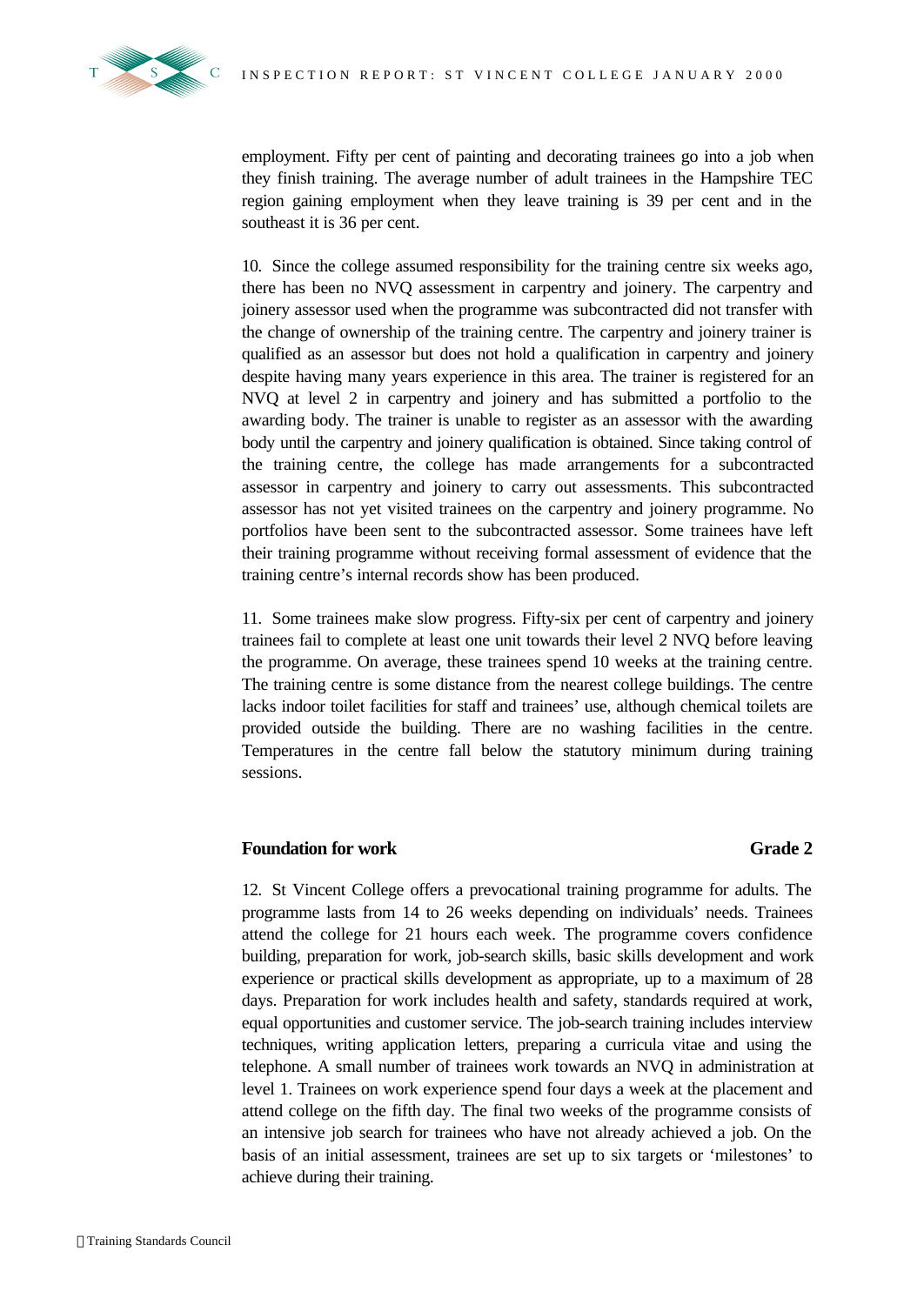

employment. Fifty per cent of painting and decorating trainees go into a job when they finish training. The average number of adult trainees in the Hampshire TEC region gaining employment when they leave training is 39 per cent and in the southeast it is 36 per cent.

10. Since the college assumed responsibility for the training centre six weeks ago, there has been no NVQ assessment in carpentry and joinery. The carpentry and joinery assessor used when the programme was subcontracted did not transfer with the change of ownership of the training centre. The carpentry and joinery trainer is qualified as an assessor but does not hold a qualification in carpentry and joinery despite having many years experience in this area. The trainer is registered for an NVQ at level 2 in carpentry and joinery and has submitted a portfolio to the awarding body. The trainer is unable to register as an assessor with the awarding body until the carpentry and joinery qualification is obtained. Since taking control of the training centre, the college has made arrangements for a subcontracted assessor in carpentry and joinery to carry out assessments. This subcontracted assessor has not yet visited trainees on the carpentry and joinery programme. No portfolios have been sent to the subcontracted assessor. Some trainees have left their training programme without receiving formal assessment of evidence that the training centre's internal records show has been produced.

11. Some trainees make slow progress. Fifty-six per cent of carpentry and joinery trainees fail to complete at least one unit towards their level 2 NVQ before leaving the programme. On average, these trainees spend 10 weeks at the training centre. The training centre is some distance from the nearest college buildings. The centre lacks indoor toilet facilities for staff and trainees' use, although chemical toilets are provided outside the building. There are no washing facilities in the centre. Temperatures in the centre fall below the statutory minimum during training sessions.

### **Foundation for work Grade 2**

12. St Vincent College offers a prevocational training programme for adults. The programme lasts from 14 to 26 weeks depending on individuals' needs. Trainees attend the college for 21 hours each week. The programme covers confidence building, preparation for work, job-search skills, basic skills development and work experience or practical skills development as appropriate, up to a maximum of 28 days. Preparation for work includes health and safety, standards required at work, equal opportunities and customer service. The job-search training includes interview techniques, writing application letters, preparing a curricula vitae and using the telephone. A small number of trainees work towards an NVQ in administration at level 1. Trainees on work experience spend four days a week at the placement and attend college on the fifth day. The final two weeks of the programme consists of an intensive job search for trainees who have not already achieved a job. On the basis of an initial assessment, trainees are set up to six targets or 'milestones' to achieve during their training.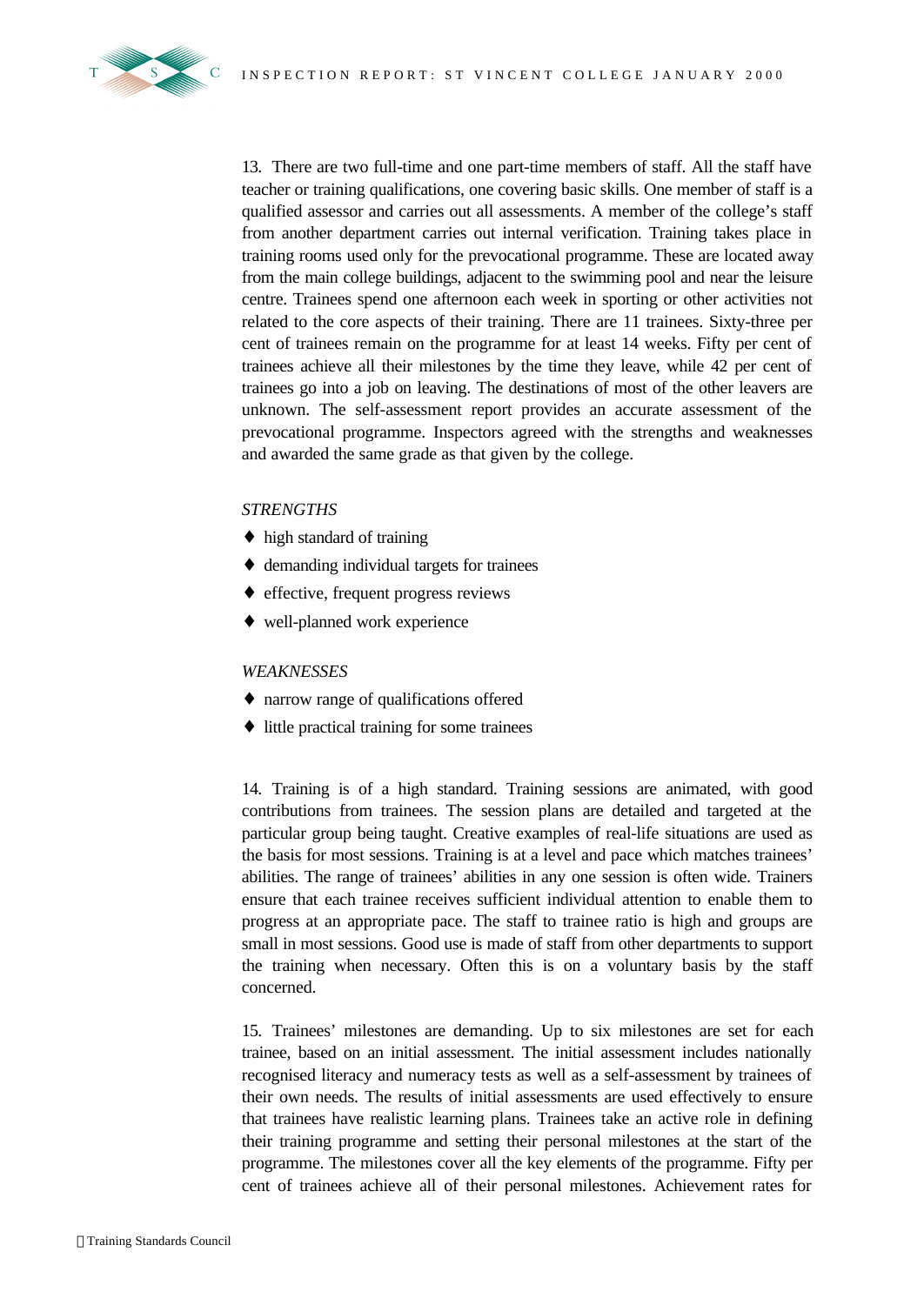

13. There are two full-time and one part-time members of staff. All the staff have teacher or training qualifications, one covering basic skills. One member of staff is a qualified assessor and carries out all assessments. A member of the college's staff from another department carries out internal verification. Training takes place in training rooms used only for the prevocational programme. These are located away from the main college buildings, adjacent to the swimming pool and near the leisure centre. Trainees spend one afternoon each week in sporting or other activities not related to the core aspects of their training. There are 11 trainees. Sixty-three per cent of trainees remain on the programme for at least 14 weeks. Fifty per cent of trainees achieve all their milestones by the time they leave, while 42 per cent of trainees go into a job on leaving. The destinations of most of the other leavers are unknown. The self-assessment report provides an accurate assessment of the prevocational programme. Inspectors agreed with the strengths and weaknesses and awarded the same grade as that given by the college.

#### *STRENGTHS*

- ♦ high standard of training
- ♦ demanding individual targets for trainees
- ♦ effective, frequent progress reviews
- ♦ well-planned work experience

#### *WEAKNESSES*

- ♦ narrow range of qualifications offered
- ♦ little practical training for some trainees

14. Training is of a high standard. Training sessions are animated, with good contributions from trainees. The session plans are detailed and targeted at the particular group being taught. Creative examples of real-life situations are used as the basis for most sessions. Training is at a level and pace which matches trainees' abilities. The range of trainees' abilities in any one session is often wide. Trainers ensure that each trainee receives sufficient individual attention to enable them to progress at an appropriate pace. The staff to trainee ratio is high and groups are small in most sessions. Good use is made of staff from other departments to support the training when necessary. Often this is on a voluntary basis by the staff concerned.

15. Trainees' milestones are demanding. Up to six milestones are set for each trainee, based on an initial assessment. The initial assessment includes nationally recognised literacy and numeracy tests as well as a self-assessment by trainees of their own needs. The results of initial assessments are used effectively to ensure that trainees have realistic learning plans. Trainees take an active role in defining their training programme and setting their personal milestones at the start of the programme. The milestones cover all the key elements of the programme. Fifty per cent of trainees achieve all of their personal milestones. Achievement rates for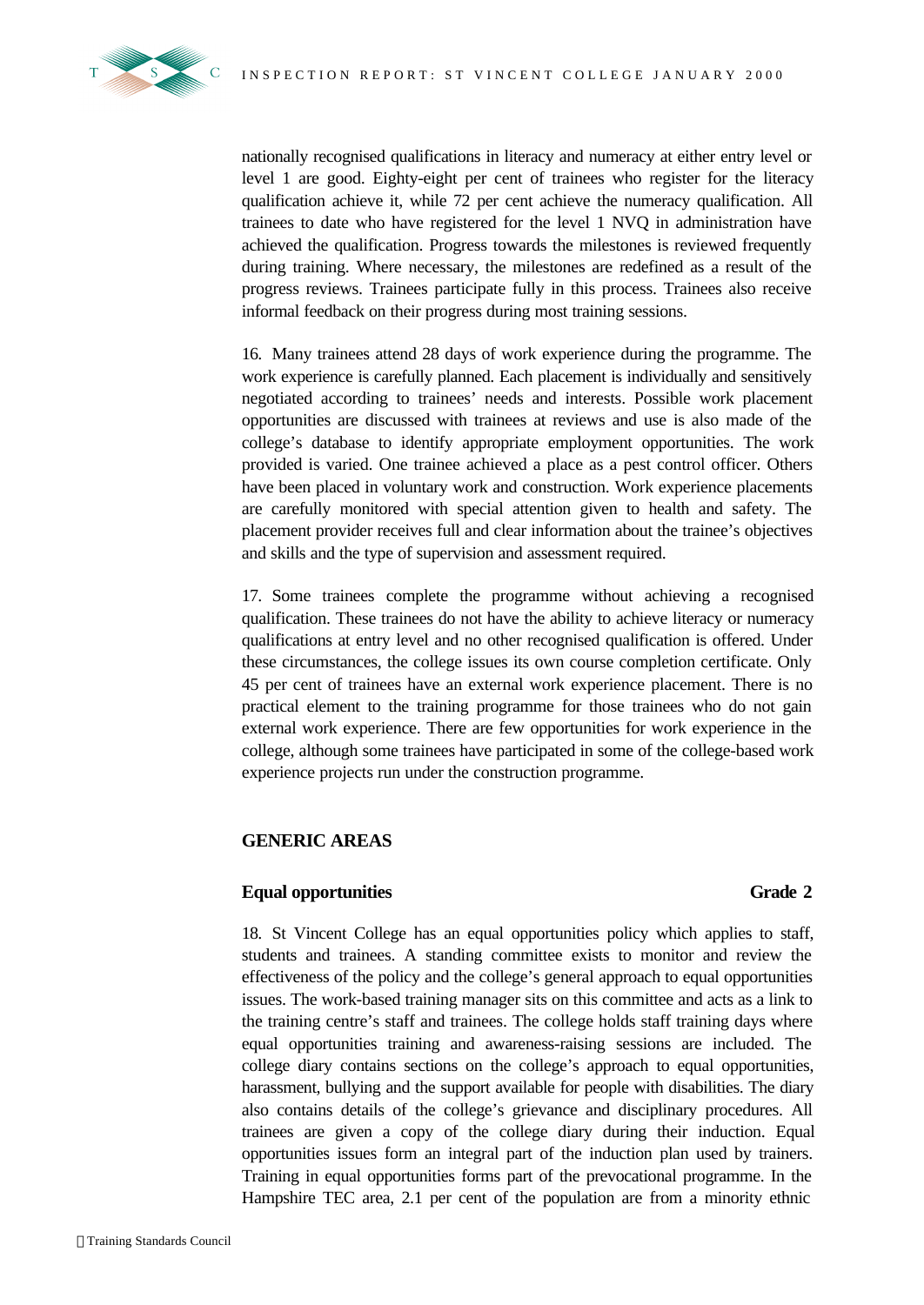

nationally recognised qualifications in literacy and numeracy at either entry level or level 1 are good. Eighty-eight per cent of trainees who register for the literacy qualification achieve it, while 72 per cent achieve the numeracy qualification. All trainees to date who have registered for the level 1 NVQ in administration have achieved the qualification. Progress towards the milestones is reviewed frequently during training. Where necessary, the milestones are redefined as a result of the progress reviews. Trainees participate fully in this process. Trainees also receive informal feedback on their progress during most training sessions.

16. Many trainees attend 28 days of work experience during the programme. The work experience is carefully planned. Each placement is individually and sensitively negotiated according to trainees' needs and interests. Possible work placement opportunities are discussed with trainees at reviews and use is also made of the college's database to identify appropriate employment opportunities. The work provided is varied. One trainee achieved a place as a pest control officer. Others have been placed in voluntary work and construction. Work experience placements are carefully monitored with special attention given to health and safety. The placement provider receives full and clear information about the trainee's objectives and skills and the type of supervision and assessment required.

17. Some trainees complete the programme without achieving a recognised qualification. These trainees do not have the ability to achieve literacy or numeracy qualifications at entry level and no other recognised qualification is offered. Under these circumstances, the college issues its own course completion certificate. Only 45 per cent of trainees have an external work experience placement. There is no practical element to the training programme for those trainees who do not gain external work experience. There are few opportunities for work experience in the college, although some trainees have participated in some of the college-based work experience projects run under the construction programme.

### **GENERIC AREAS**

### **Equal opportunities Grade 2**

18. St Vincent College has an equal opportunities policy which applies to staff, students and trainees. A standing committee exists to monitor and review the effectiveness of the policy and the college's general approach to equal opportunities issues. The work-based training manager sits on this committee and acts as a link to the training centre's staff and trainees. The college holds staff training days where equal opportunities training and awareness-raising sessions are included. The college diary contains sections on the college's approach to equal opportunities, harassment, bullying and the support available for people with disabilities. The diary also contains details of the college's grievance and disciplinary procedures. All trainees are given a copy of the college diary during their induction. Equal opportunities issues form an integral part of the induction plan used by trainers. Training in equal opportunities forms part of the prevocational programme. In the Hampshire TEC area, 2.1 per cent of the population are from a minority ethnic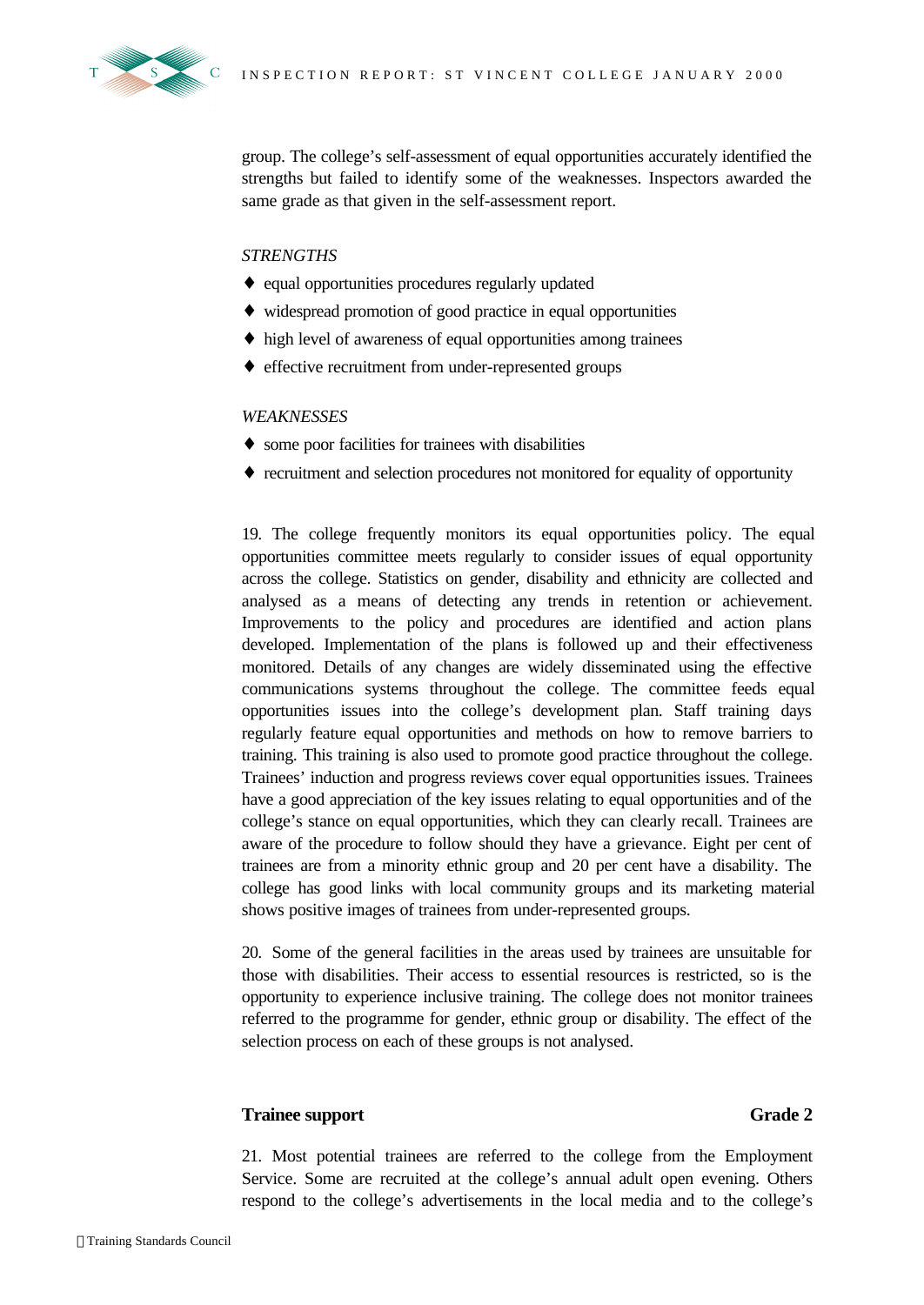



group. The college's self-assessment of equal opportunities accurately identified the strengths but failed to identify some of the weaknesses. Inspectors awarded the same grade as that given in the self-assessment report.

### *STRENGTHS*

- ♦ equal opportunities procedures regularly updated
- ♦ widespread promotion of good practice in equal opportunities
- ♦ high level of awareness of equal opportunities among trainees
- ♦ effective recruitment from under-represented groups

### *WEAKNESSES*

- ♦ some poor facilities for trainees with disabilities
- ♦ recruitment and selection procedures not monitored for equality of opportunity

19. The college frequently monitors its equal opportunities policy. The equal opportunities committee meets regularly to consider issues of equal opportunity across the college. Statistics on gender, disability and ethnicity are collected and analysed as a means of detecting any trends in retention or achievement. Improvements to the policy and procedures are identified and action plans developed. Implementation of the plans is followed up and their effectiveness monitored. Details of any changes are widely disseminated using the effective communications systems throughout the college. The committee feeds equal opportunities issues into the college's development plan. Staff training days regularly feature equal opportunities and methods on how to remove barriers to training. This training is also used to promote good practice throughout the college. Trainees' induction and progress reviews cover equal opportunities issues. Trainees have a good appreciation of the key issues relating to equal opportunities and of the college's stance on equal opportunities, which they can clearly recall. Trainees are aware of the procedure to follow should they have a grievance. Eight per cent of trainees are from a minority ethnic group and 20 per cent have a disability. The college has good links with local community groups and its marketing material shows positive images of trainees from under-represented groups.

20. Some of the general facilities in the areas used by trainees are unsuitable for those with disabilities. Their access to essential resources is restricted, so is the opportunity to experience inclusive training. The college does not monitor trainees referred to the programme for gender, ethnic group or disability. The effect of the selection process on each of these groups is not analysed.

### **Trainee support Grade 2**

21. Most potential trainees are referred to the college from the Employment Service. Some are recruited at the college's annual adult open evening. Others respond to the college's advertisements in the local media and to the college's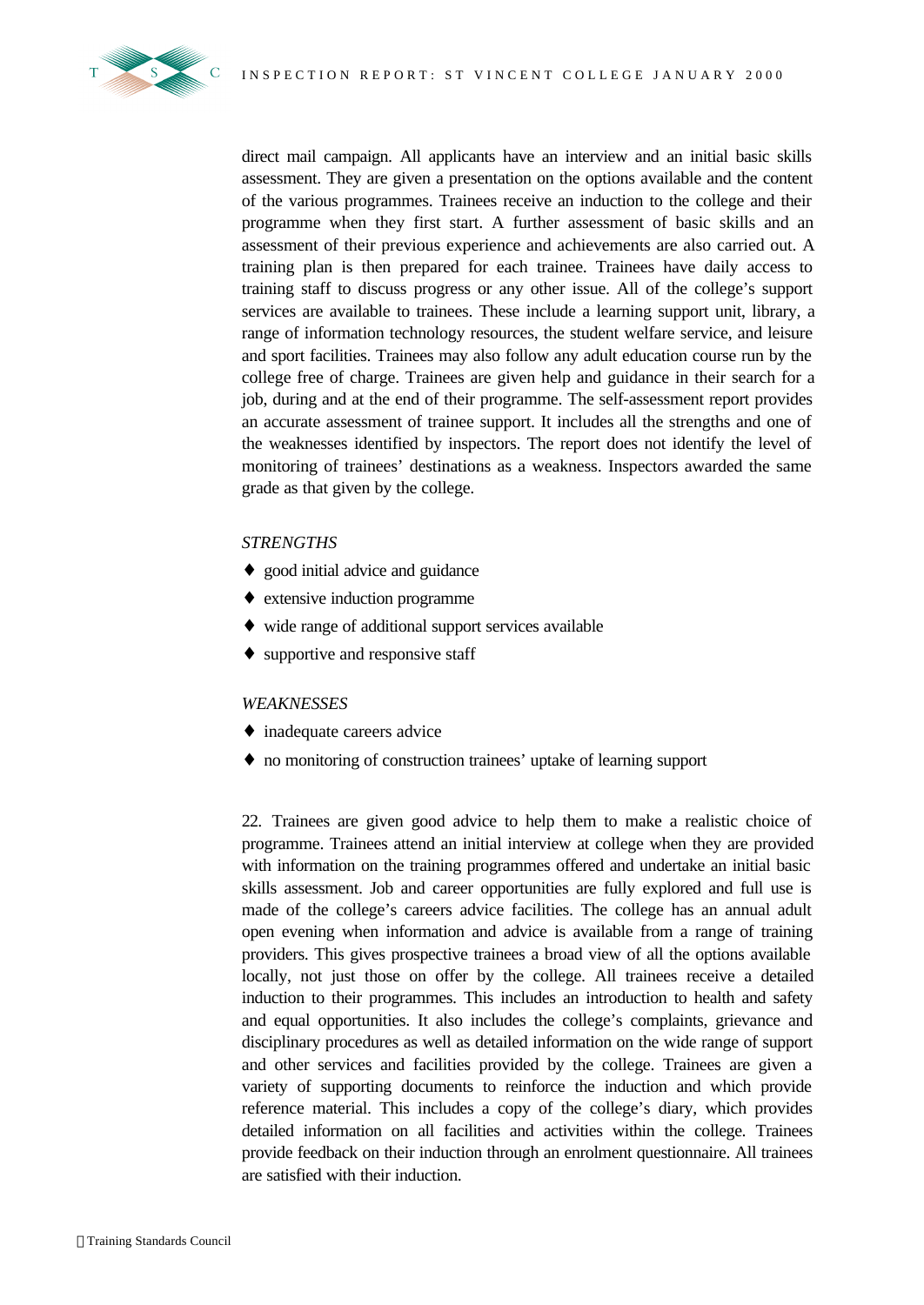

direct mail campaign. All applicants have an interview and an initial basic skills assessment. They are given a presentation on the options available and the content of the various programmes. Trainees receive an induction to the college and their programme when they first start. A further assessment of basic skills and an assessment of their previous experience and achievements are also carried out. A training plan is then prepared for each trainee. Trainees have daily access to training staff to discuss progress or any other issue. All of the college's support services are available to trainees. These include a learning support unit, library, a range of information technology resources, the student welfare service, and leisure and sport facilities. Trainees may also follow any adult education course run by the college free of charge. Trainees are given help and guidance in their search for a job, during and at the end of their programme. The self-assessment report provides an accurate assessment of trainee support. It includes all the strengths and one of the weaknesses identified by inspectors. The report does not identify the level of monitoring of trainees' destinations as a weakness. Inspectors awarded the same grade as that given by the college.

#### *STRENGTHS*

- ♦ good initial advice and guidance
- ♦ extensive induction programme
- ♦ wide range of additional support services available
- ♦ supportive and responsive staff

#### *WEAKNESSES*

- inadequate careers advice
- ♦ no monitoring of construction trainees' uptake of learning support

22. Trainees are given good advice to help them to make a realistic choice of programme. Trainees attend an initial interview at college when they are provided with information on the training programmes offered and undertake an initial basic skills assessment. Job and career opportunities are fully explored and full use is made of the college's careers advice facilities. The college has an annual adult open evening when information and advice is available from a range of training providers. This gives prospective trainees a broad view of all the options available locally, not just those on offer by the college. All trainees receive a detailed induction to their programmes. This includes an introduction to health and safety and equal opportunities. It also includes the college's complaints, grievance and disciplinary procedures as well as detailed information on the wide range of support and other services and facilities provided by the college. Trainees are given a variety of supporting documents to reinforce the induction and which provide reference material. This includes a copy of the college's diary, which provides detailed information on all facilities and activities within the college. Trainees provide feedback on their induction through an enrolment questionnaire. All trainees are satisfied with their induction.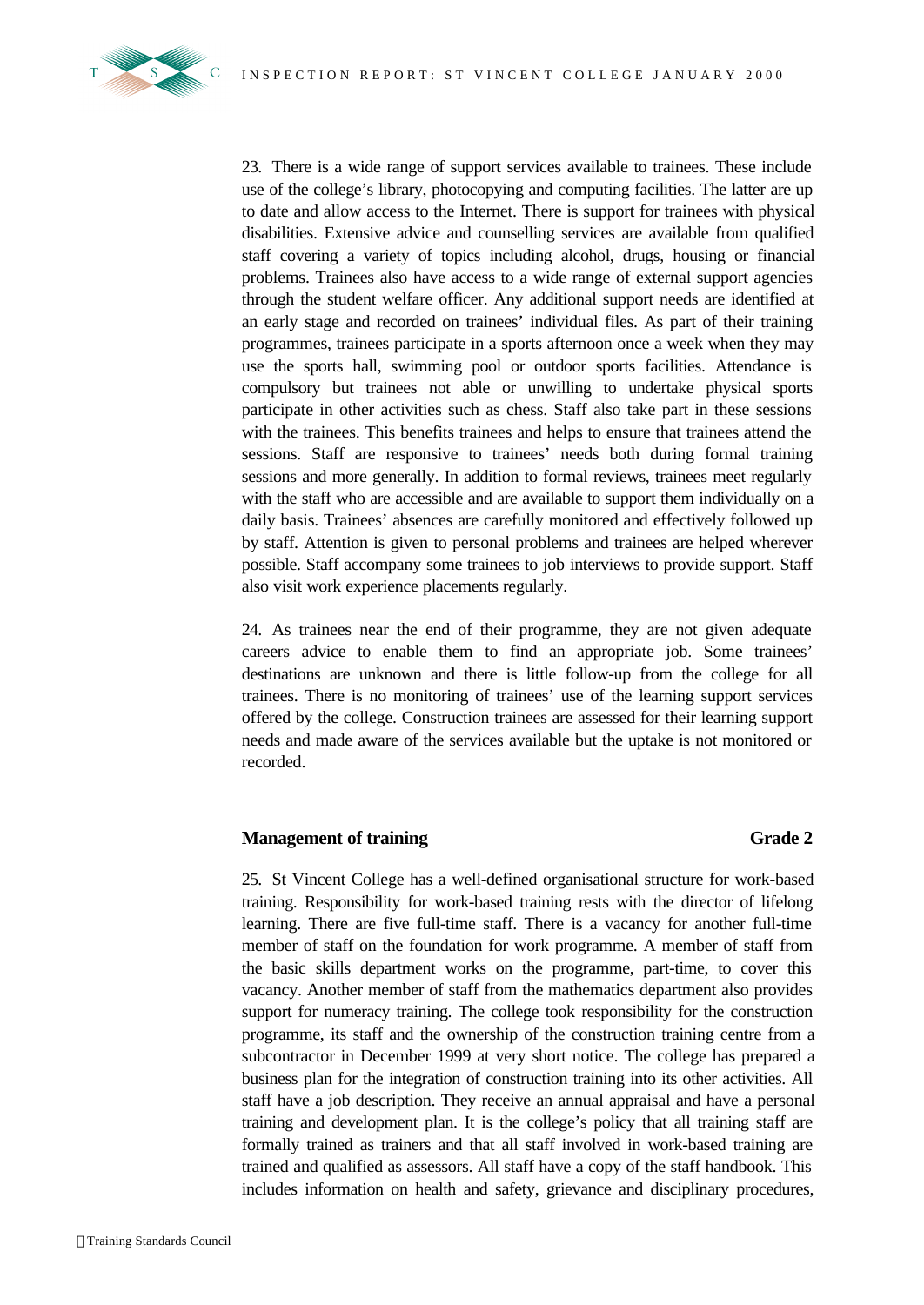

23. There is a wide range of support services available to trainees. These include use of the college's library, photocopying and computing facilities. The latter are up to date and allow access to the Internet. There is support for trainees with physical disabilities. Extensive advice and counselling services are available from qualified staff covering a variety of topics including alcohol, drugs, housing or financial problems. Trainees also have access to a wide range of external support agencies through the student welfare officer. Any additional support needs are identified at an early stage and recorded on trainees' individual files. As part of their training programmes, trainees participate in a sports afternoon once a week when they may use the sports hall, swimming pool or outdoor sports facilities. Attendance is compulsory but trainees not able or unwilling to undertake physical sports participate in other activities such as chess. Staff also take part in these sessions with the trainees. This benefits trainees and helps to ensure that trainees attend the sessions. Staff are responsive to trainees' needs both during formal training sessions and more generally. In addition to formal reviews, trainees meet regularly with the staff who are accessible and are available to support them individually on a daily basis. Trainees' absences are carefully monitored and effectively followed up by staff. Attention is given to personal problems and trainees are helped wherever possible. Staff accompany some trainees to job interviews to provide support. Staff also visit work experience placements regularly.

24. As trainees near the end of their programme, they are not given adequate careers advice to enable them to find an appropriate job. Some trainees' destinations are unknown and there is little follow-up from the college for all trainees. There is no monitoring of trainees' use of the learning support services offered by the college. Construction trainees are assessed for their learning support needs and made aware of the services available but the uptake is not monitored or recorded.

### **Management of training Grade 2**

25. St Vincent College has a well-defined organisational structure for work-based training. Responsibility for work-based training rests with the director of lifelong learning. There are five full-time staff. There is a vacancy for another full-time member of staff on the foundation for work programme. A member of staff from the basic skills department works on the programme, part-time, to cover this vacancy. Another member of staff from the mathematics department also provides support for numeracy training. The college took responsibility for the construction programme, its staff and the ownership of the construction training centre from a subcontractor in December 1999 at very short notice. The college has prepared a business plan for the integration of construction training into its other activities. All staff have a job description. They receive an annual appraisal and have a personal training and development plan. It is the college's policy that all training staff are formally trained as trainers and that all staff involved in work-based training are trained and qualified as assessors. All staff have a copy of the staff handbook. This includes information on health and safety, grievance and disciplinary procedures,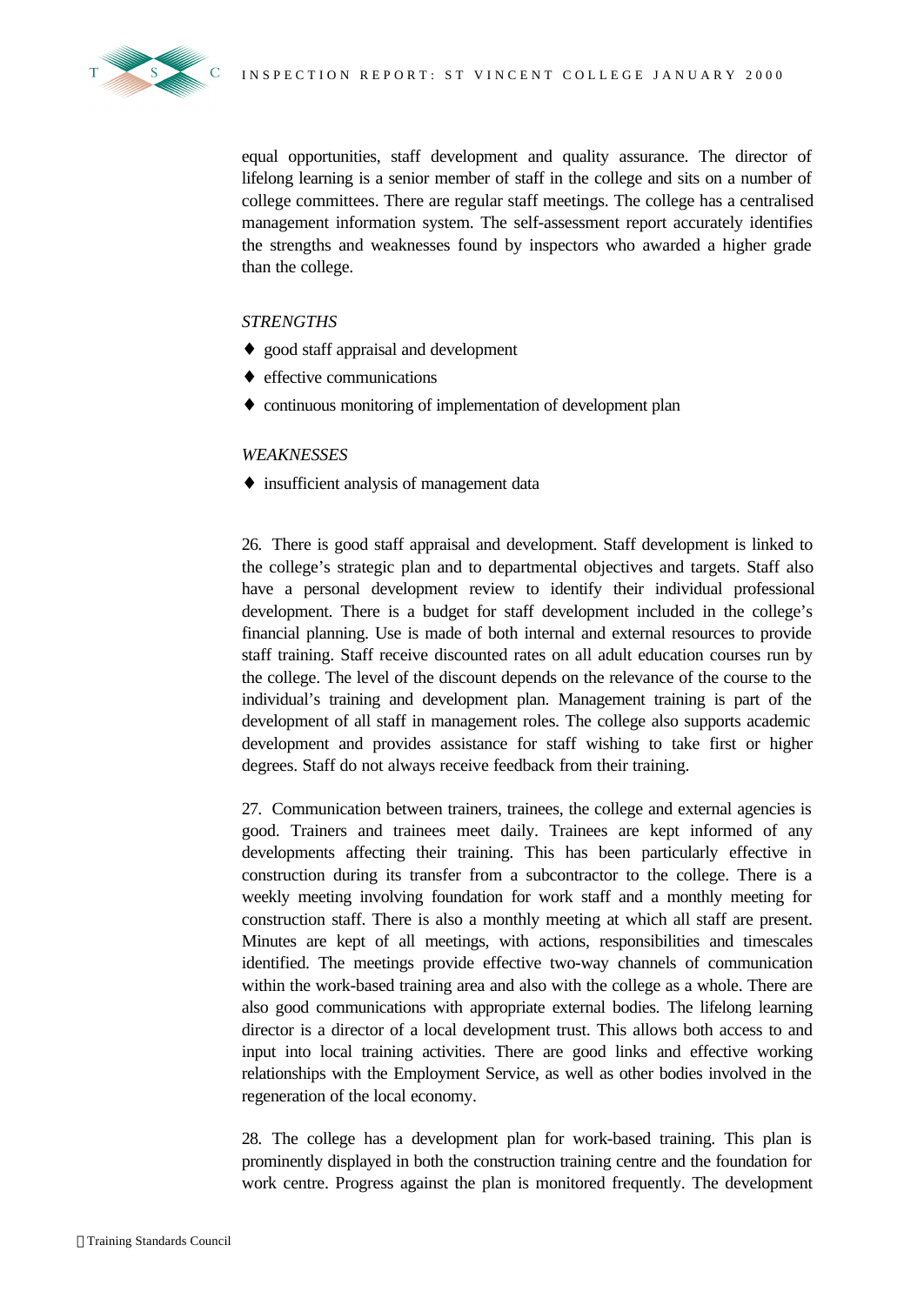

equal opportunities, staff development and quality assurance. The director of lifelong learning is a senior member of staff in the college and sits on a number of college committees. There are regular staff meetings. The college has a centralised management information system. The self-assessment report accurately identifies the strengths and weaknesses found by inspectors who awarded a higher grade than the college.

### *STRENGTHS*

- ♦ good staff appraisal and development
- ♦ effective communications
- ♦ continuous monitoring of implementation of development plan

### *WEAKNESSES*

♦ insufficient analysis of management data

26. There is good staff appraisal and development. Staff development is linked to the college's strategic plan and to departmental objectives and targets. Staff also have a personal development review to identify their individual professional development. There is a budget for staff development included in the college's financial planning. Use is made of both internal and external resources to provide staff training. Staff receive discounted rates on all adult education courses run by the college. The level of the discount depends on the relevance of the course to the individual's training and development plan. Management training is part of the development of all staff in management roles. The college also supports academic development and provides assistance for staff wishing to take first or higher degrees. Staff do not always receive feedback from their training.

27. Communication between trainers, trainees, the college and external agencies is good. Trainers and trainees meet daily. Trainees are kept informed of any developments affecting their training. This has been particularly effective in construction during its transfer from a subcontractor to the college. There is a weekly meeting involving foundation for work staff and a monthly meeting for construction staff. There is also a monthly meeting at which all staff are present. Minutes are kept of all meetings, with actions, responsibilities and timescales identified. The meetings provide effective two-way channels of communication within the work-based training area and also with the college as a whole. There are also good communications with appropriate external bodies. The lifelong learning director is a director of a local development trust. This allows both access to and input into local training activities. There are good links and effective working relationships with the Employment Service, as well as other bodies involved in the regeneration of the local economy.

28. The college has a development plan for work-based training. This plan is prominently displayed in both the construction training centre and the foundation for work centre. Progress against the plan is monitored frequently. The development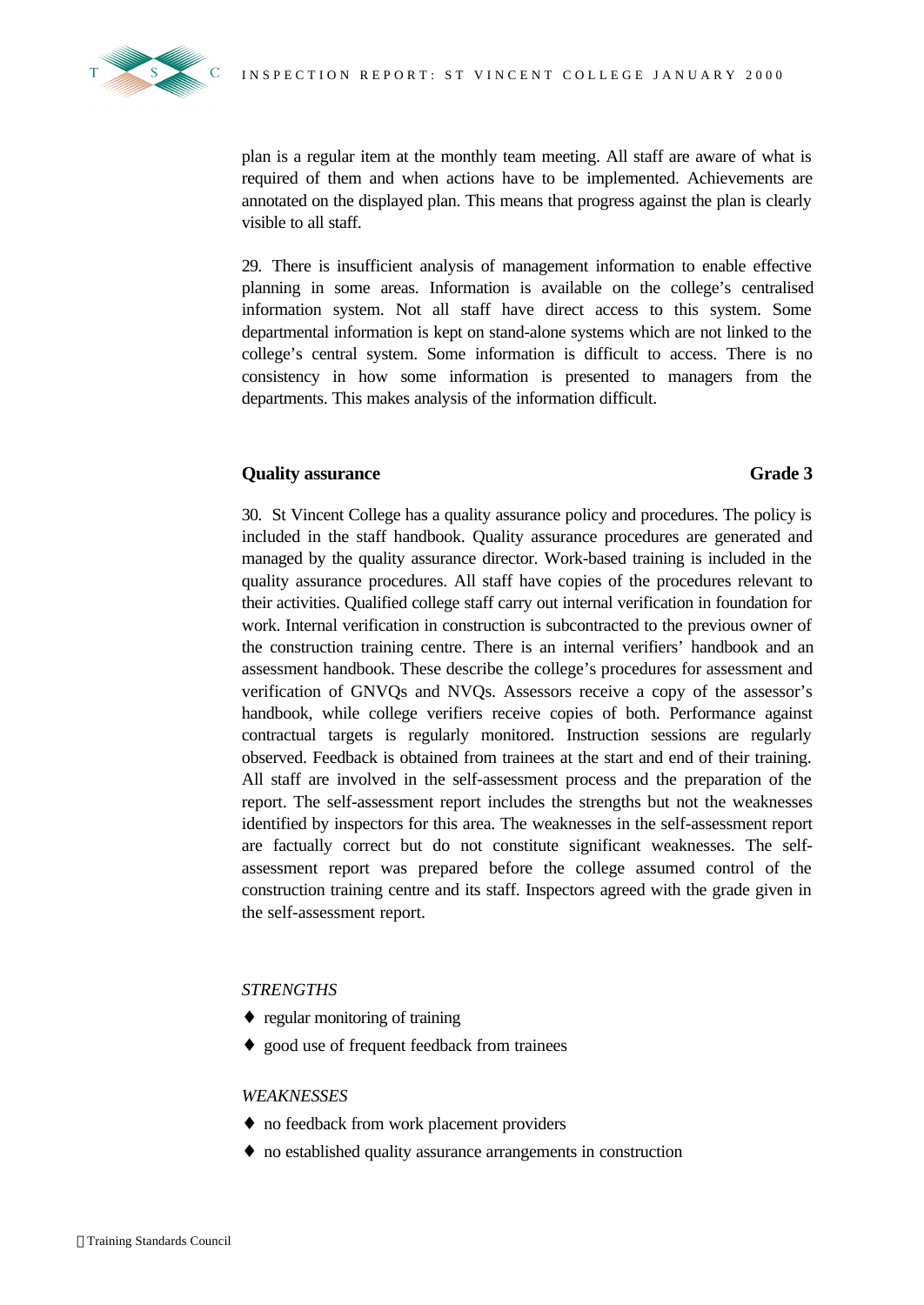

plan is a regular item at the monthly team meeting. All staff are aware of what is required of them and when actions have to be implemented. Achievements are annotated on the displayed plan. This means that progress against the plan is clearly visible to all staff.

29. There is insufficient analysis of management information to enable effective planning in some areas. Information is available on the college's centralised information system. Not all staff have direct access to this system. Some departmental information is kept on stand-alone systems which are not linked to the college's central system. Some information is difficult to access. There is no consistency in how some information is presented to managers from the departments. This makes analysis of the information difficult.

#### **Quality assurance Grade 3**

30. St Vincent College has a quality assurance policy and procedures. The policy is included in the staff handbook. Quality assurance procedures are generated and managed by the quality assurance director. Work-based training is included in the quality assurance procedures. All staff have copies of the procedures relevant to their activities. Qualified college staff carry out internal verification in foundation for work. Internal verification in construction is subcontracted to the previous owner of the construction training centre. There is an internal verifiers' handbook and an assessment handbook. These describe the college's procedures for assessment and verification of GNVQs and NVQs. Assessors receive a copy of the assessor's handbook, while college verifiers receive copies of both. Performance against contractual targets is regularly monitored. Instruction sessions are regularly observed. Feedback is obtained from trainees at the start and end of their training. All staff are involved in the self-assessment process and the preparation of the report. The self-assessment report includes the strengths but not the weaknesses identified by inspectors for this area. The weaknesses in the self-assessment report are factually correct but do not constitute significant weaknesses. The selfassessment report was prepared before the college assumed control of the construction training centre and its staff. Inspectors agreed with the grade given in the self-assessment report.

#### *STRENGTHS*

- ♦ regular monitoring of training
- ♦ good use of frequent feedback from trainees

#### *WEAKNESSES*

- ♦ no feedback from work placement providers
- ♦ no established quality assurance arrangements in construction